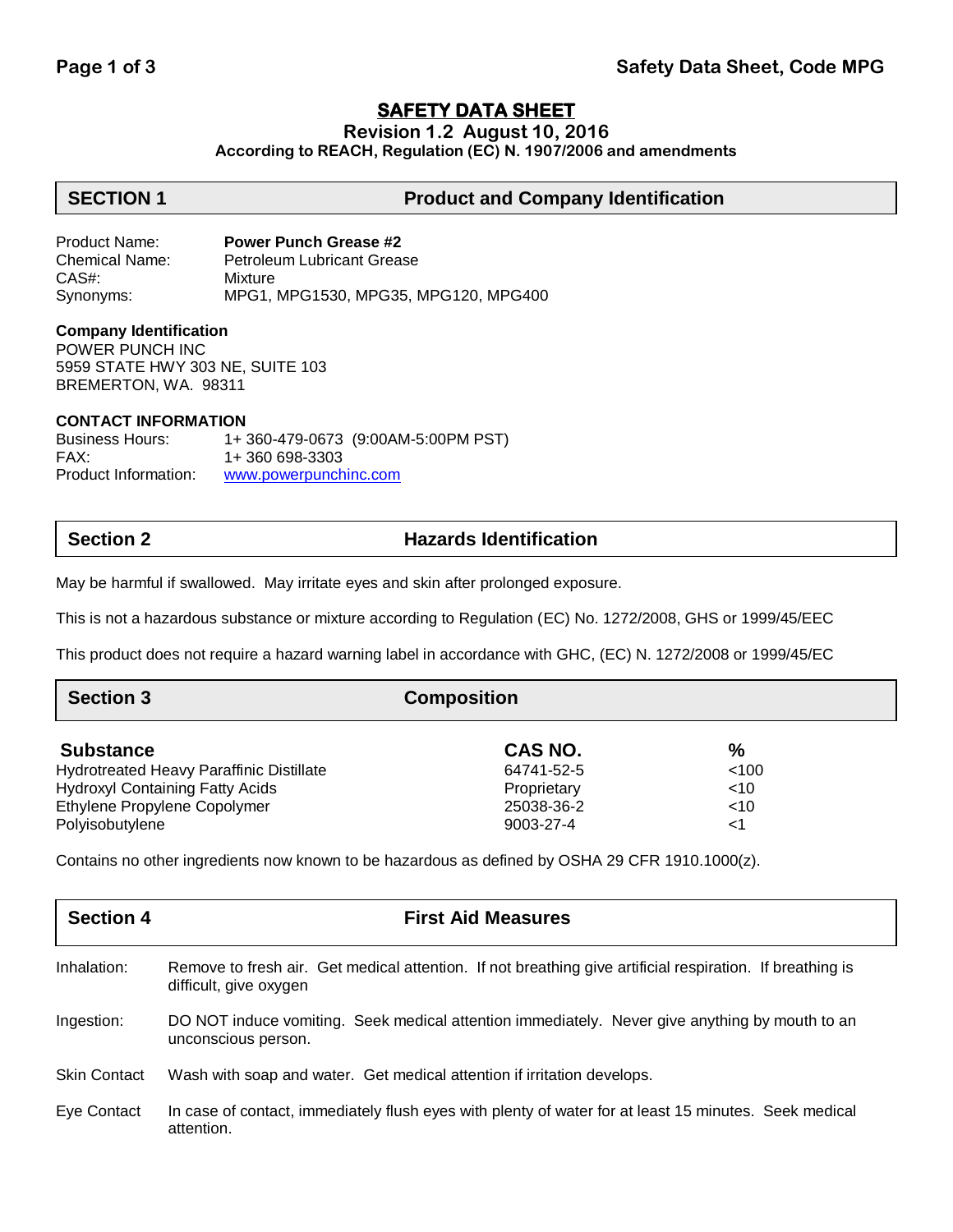# **SAFETY DATA SHEET**

**Revision 1.2 August 10, 2016**

**According to REACH, Regulation (EC) N. 1907/2006 and amendments**

## **SECTION 1 Product and Company Identification**

Product Name: **Power Punch Grease #2** Chemical Name: Petroleum Lubricant Grease CAS#: Mixture Synonyms: MPG1, MPG1530, MPG35, MPG120, MPG400

### **Company Identification**

POWER PUNCH INC 5959 STATE HWY 303 NE, SUITE 103 BREMERTON, WA. 98311

### **CONTACT INFORMATION**

Business Hours: 1+ 360-479-0673 (9:00AM-5:00PM PST) FAX: 1+ 360 698-3303 Product Information: [www.powerpunchinc.com](http://www.powerpunchinc.com/)

# **Section 2 Hazards Identification**

May be harmful if swallowed. May irritate eyes and skin after prolonged exposure.

This is not a hazardous substance or mixture according to Regulation (EC) No. 1272/2008, GHS or 1999/45/EEC

This product does not require a hazard warning label in accordance with GHC, (EC) N. 1272/2008 or 1999/45/EC

| <b>Section 3</b>                                | <b>Composition</b> |        |  |
|-------------------------------------------------|--------------------|--------|--|
| <b>Substance</b>                                | CAS NO.            | $\%$   |  |
| <b>Hydrotreated Heavy Paraffinic Distillate</b> | 64741-52-5         | < 100  |  |
| <b>Hydroxyl Containing Fatty Acids</b>          | Proprietary        | $<$ 10 |  |
| Ethylene Propylene Copolymer                    | 25038-36-2         | $<$ 10 |  |
| Polyisobutylene                                 | 9003-27-4          | <1     |  |
|                                                 |                    |        |  |

Contains no other ingredients now known to be hazardous as defined by OSHA 29 CFR 1910.1000(z).

| <b>Section 4</b>    | <b>First Aid Measures</b>                                                                                                           |
|---------------------|-------------------------------------------------------------------------------------------------------------------------------------|
| Inhalation:         | Remove to fresh air. Get medical attention. If not breathing give artificial respiration. If breathing is<br>difficult, give oxygen |
| Ingestion:          | DO NOT induce vomiting. Seek medical attention immediately. Never give anything by mouth to an<br>unconscious person.               |
| <b>Skin Contact</b> | Wash with soap and water. Get medical attention if irritation develops.                                                             |
| Eye Contact         | In case of contact, immediately flush eyes with plenty of water for at least 15 minutes. Seek medical<br>attention.                 |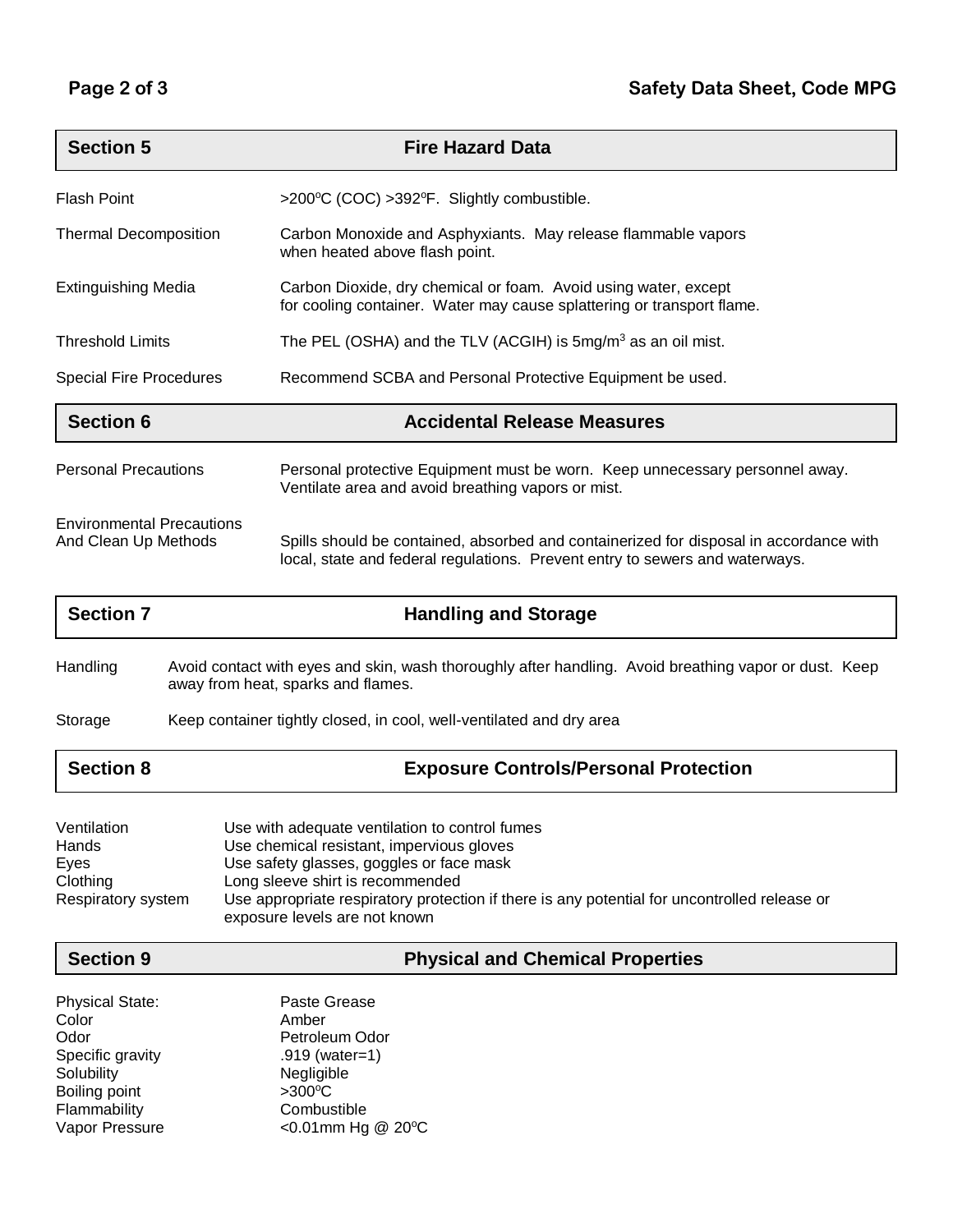| <b>Section 5</b>                                         | <b>Fire Hazard Data</b>                                                                                                                                                |  |
|----------------------------------------------------------|------------------------------------------------------------------------------------------------------------------------------------------------------------------------|--|
| <b>Flash Point</b>                                       | >200°C (COC) >392°F. Slightly combustible.                                                                                                                             |  |
| <b>Thermal Decomposition</b>                             | Carbon Monoxide and Asphyxiants. May release flammable vapors<br>when heated above flash point.                                                                        |  |
| <b>Extinguishing Media</b>                               | Carbon Dioxide, dry chemical or foam. Avoid using water, except<br>for cooling container. Water may cause splattering or transport flame.                              |  |
| <b>Threshold Limits</b>                                  | The PEL (OSHA) and the TLV (ACGIH) is $5mg/m3$ as an oil mist.                                                                                                         |  |
| <b>Special Fire Procedures</b>                           | Recommend SCBA and Personal Protective Equipment be used.                                                                                                              |  |
| <b>Section 6</b>                                         | <b>Accidental Release Measures</b>                                                                                                                                     |  |
| <b>Personal Precautions</b>                              | Personal protective Equipment must be worn. Keep unnecessary personnel away.<br>Ventilate area and avoid breathing vapors or mist.                                     |  |
| <b>Environmental Precautions</b><br>And Clean Up Methods | Spills should be contained, absorbed and containerized for disposal in accordance with<br>local, state and federal regulations. Prevent entry to sewers and waterways. |  |

| <b>Handling and Storage</b>                                                                                                                 |
|---------------------------------------------------------------------------------------------------------------------------------------------|
| Avoid contact with eyes and skin, wash thoroughly after handling. Avoid breathing vapor or dust. Keep<br>away from heat, sparks and flames. |
| Keep container tightly closed, in cool, well-ventilated and dry area                                                                        |
| <b>Exposure Controls/Personal Protection</b>                                                                                                |
|                                                                                                                                             |

| Ventilation        | Use with adequate ventilation to control fumes                                                                                |
|--------------------|-------------------------------------------------------------------------------------------------------------------------------|
| Hands              | Use chemical resistant, impervious gloves                                                                                     |
| Eves               | Use safety glasses, goggles or face mask                                                                                      |
| Clothing           | Long sleeve shirt is recommended                                                                                              |
| Respiratory system | Use appropriate respiratory protection if there is any potential for uncontrolled release or<br>exposure levels are not known |

**Section 9 Physical and Chemical Properties**

| <b>Physical State:</b> | Paste Grease                |
|------------------------|-----------------------------|
| Color                  | Amber                       |
| Odor                   | Petroleum Odor              |
| Specific gravity       | .919 (water=1)              |
| Solubility             | Negligible                  |
| Boiling point          | $>300^{\circ}C$             |
| Flammability           | Combustible                 |
| Vapor Pressure         | <0.01mm Hg @ $20^{\circ}$ C |
|                        |                             |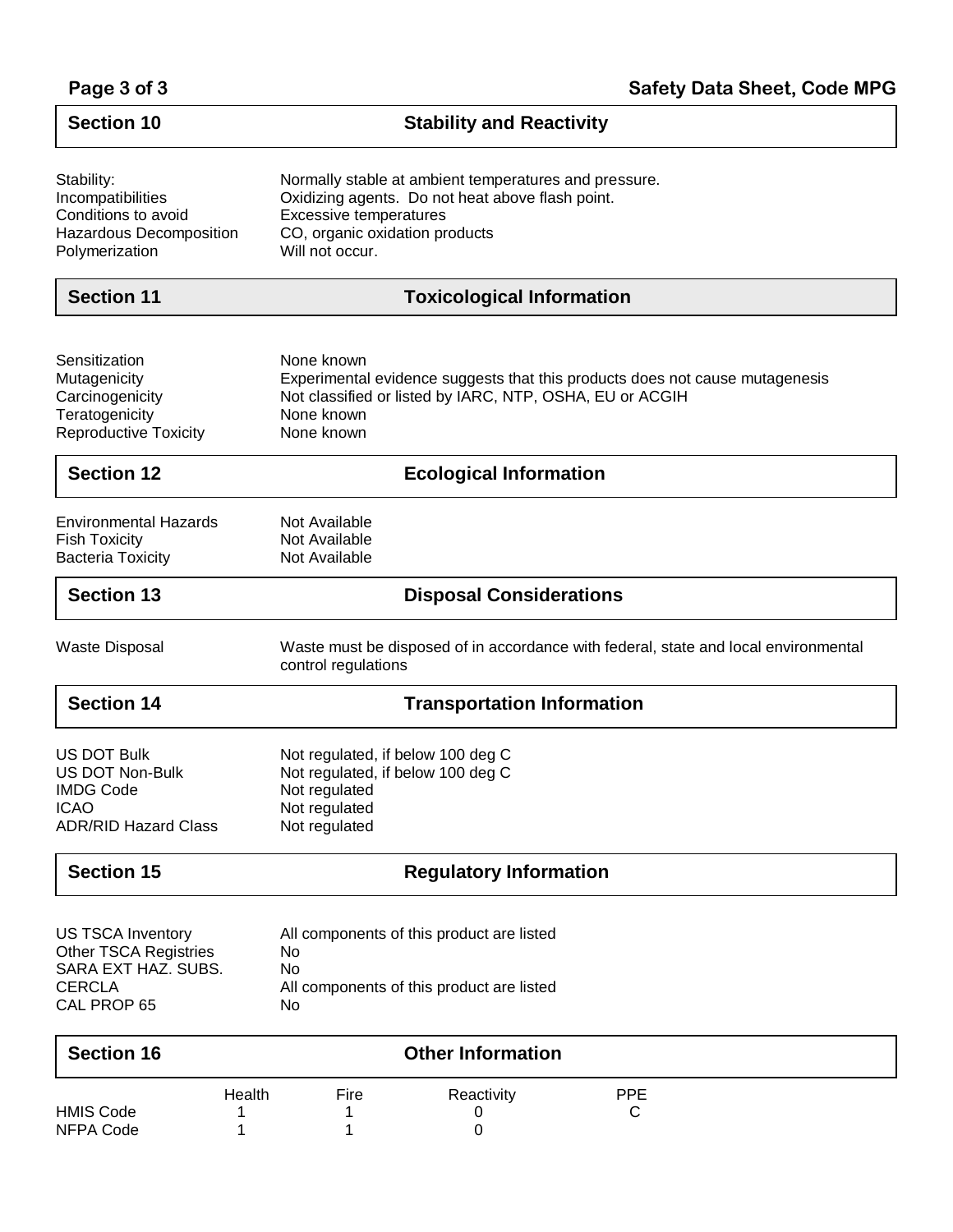| Page 3 of 3 |  |  |  |
|-------------|--|--|--|
|-------------|--|--|--|

| <b>Section 10</b>                                                                                               | <b>Stability and Reactivity</b>                                                                                                                                                                 |  |
|-----------------------------------------------------------------------------------------------------------------|-------------------------------------------------------------------------------------------------------------------------------------------------------------------------------------------------|--|
| Stability:<br>Incompatibilities<br>Conditions to avoid<br>Hazardous Decomposition<br>Polymerization             | Normally stable at ambient temperatures and pressure.<br>Oxidizing agents. Do not heat above flash point.<br><b>Excessive temperatures</b><br>CO, organic oxidation products<br>Will not occur. |  |
| <b>Section 11</b>                                                                                               | <b>Toxicological Information</b>                                                                                                                                                                |  |
| Sensitization<br>Mutagenicity<br>Carcinogenicity<br>Teratogenicity<br><b>Reproductive Toxicity</b>              | None known<br>Experimental evidence suggests that this products does not cause mutagenesis<br>Not classified or listed by IARC, NTP, OSHA, EU or ACGIH<br>None known<br>None known              |  |
| <b>Section 12</b>                                                                                               | <b>Ecological Information</b>                                                                                                                                                                   |  |
| <b>Environmental Hazards</b><br><b>Fish Toxicity</b><br><b>Bacteria Toxicity</b>                                | Not Available<br>Not Available<br>Not Available                                                                                                                                                 |  |
| <b>Section 13</b>                                                                                               | <b>Disposal Considerations</b>                                                                                                                                                                  |  |
| <b>Waste Disposal</b>                                                                                           | Waste must be disposed of in accordance with federal, state and local environmental<br>control regulations                                                                                      |  |
| <b>Section 14</b>                                                                                               | <b>Transportation Information</b>                                                                                                                                                               |  |
| <b>US DOT Bulk</b><br><b>US DOT Non-Bulk</b><br><b>IMDG Code</b><br><b>ICAO</b><br><b>ADR/RID Hazard Class</b>  | Not regulated, if below 100 deg C<br>Not regulated, if below 100 deg C<br>Not regulated<br>Not regulated<br>Not regulated                                                                       |  |
| <b>Section 15</b>                                                                                               | <b>Regulatory Information</b>                                                                                                                                                                   |  |
| <b>US TSCA Inventory</b><br><b>Other TSCA Registries</b><br>SARA EXT HAZ. SUBS.<br><b>CERCLA</b><br>CAL PROP 65 | All components of this product are listed<br>No<br>No<br>All components of this product are listed<br>No                                                                                        |  |
| <b>Section 16</b>                                                                                               | <b>Other Information</b>                                                                                                                                                                        |  |
| <b>HMIS Code</b><br><b>NFPA Code</b>                                                                            | Health<br>Fire<br>Reactivity<br><b>PPE</b><br>C<br>0<br>0<br>1                                                                                                                                  |  |